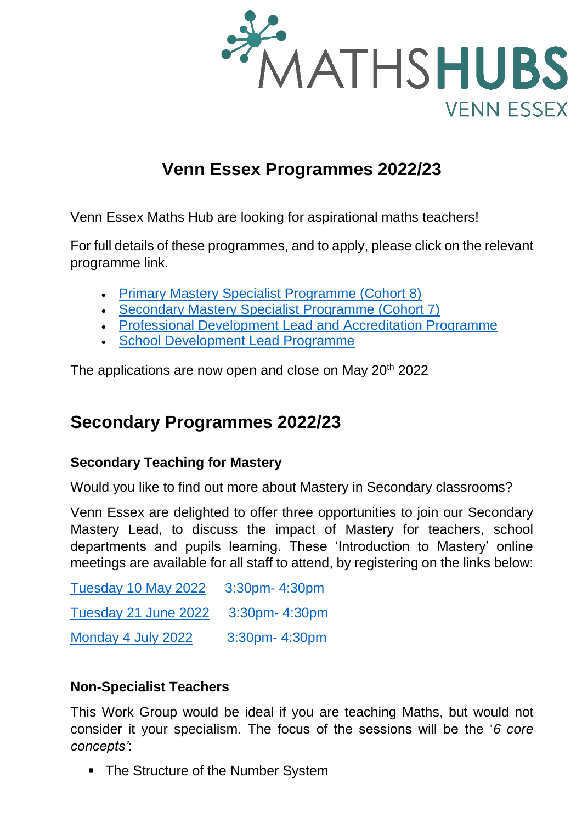

## **Venn Essex Programmes 2022/23**

Venn Essex Maths Hub are looking for aspirational maths teachers!

For full details of these programmes, and to apply, please click on the relevant programme link.

- [Primary Mastery Specialist Programme \(Cohort 8\)](https://vennessexmathshub.co.uk/mastery-specialist/)
- [Secondary Mastery Specialist Programme \(Cohort 7\)](https://vennessexmathshub.co.uk/mastery-specialist/)
- [Professional Development Lead and Accreditation Programme](https://vennessexmathshub.co.uk/wp-content/uploads/2022/03/pd_lead_programme_information_sheet_2022.pdf)
- [School Development Lead Programme](https://vennessexmathshub.co.uk/wp-content/uploads/2022/03/school_development_lead_programme_information_2022.pdf)

The applications are now open and close on May 20<sup>th</sup> 2022

## **Secondary Programmes 2022/23**

## **Secondary Teaching for Mastery**

Would you like to find out more about Mastery in Secondary classrooms?

Venn Essex are delighted to offer three opportunities to join our Secondary Mastery Lead, to discuss the impact of Mastery for teachers, school departments and pupils learning. These 'Introduction to Mastery' online meetings are available for all staff to attend, by registering on the links below:

[Tuesday 10 May 2022](https://us02web.zoom.us/meeting/register/tZYodeGtqD0oGNejzRECbtLAoK7pKmtXfMqd) 3:30pm- 4:30pm [Tuesday 21 June 2022](https://us02web.zoom.us/meeting/register/tZcsduuopj8vHdDJIO812lAtHKlWDCLVX20g) 3:30pm- 4:30pm [Monday 4 July 2022](https://us02web.zoom.us/meeting/register/tZUucuytqjwrH9xaEbemamZk4gO6bdd-3wKF) 3:30pm- 4:30pm

## **Non-Specialist Teachers**

This Work Group would be ideal if you are teaching Maths, but would not consider it your specialism. The focus of the sessions will be the '*6 core concepts'*:

• The Structure of the Number System